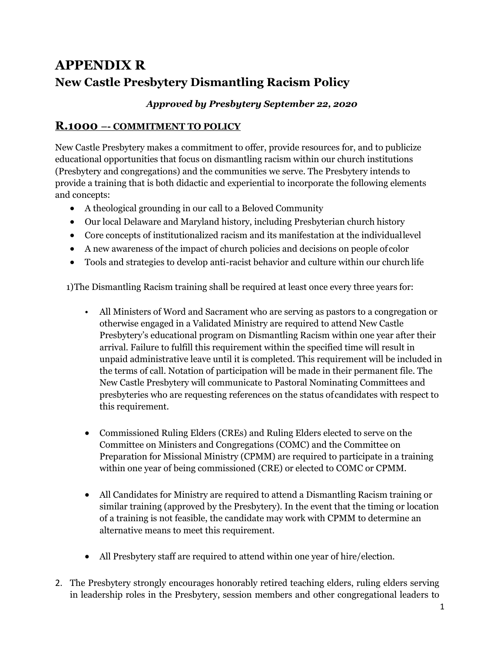## **APPENDIX R New Castle Presbytery Dismantling Racism Policy**

## *Approved by Presbytery September 22, 2020*

## **R.1000 –- COMMITMENT TO POLICY**

New Castle Presbytery makes a commitment to offer, provide resources for, and to publicize educational opportunities that focus on dismantling racism within our church institutions (Presbytery and congregations) and the communities we serve. The Presbytery intends to provide a training that is both didactic and experiential to incorporate the following elements and concepts:

- A theological grounding in our call to a Beloved Community
- Our local Delaware and Maryland history, including Presbyterian church history
- Core concepts of institutionalized racism and its manifestation at the individuallevel
- A new awareness of the impact of church policies and decisions on people of color
- Tools and strategies to develop anti-racist behavior and culture within our church life

1)The Dismantling Racism training shall be required at least once every three years for:

- All Ministers of Word and Sacrament who are serving as pastors to a congregation or otherwise engaged in a Validated Ministry are required to attend New Castle Presbytery's educational program on Dismantling Racism within one year after their arrival. Failure to fulfill this requirement within the specified time will result in unpaid administrative leave until it is completed. This requirement will be included in the terms of call. Notation of participation will be made in their permanent file. The New Castle Presbytery will communicate to Pastoral Nominating Committees and presbyteries who are requesting references on the status of candidates with respect to this requirement.
- Commissioned Ruling Elders (CREs) and Ruling Elders elected to serve on the Committee on Ministers and Congregations (COMC) and the Committee on Preparation for Missional Ministry (CPMM) are required to participate in a training within one year of being commissioned (CRE) or elected to COMC or CPMM.
- All Candidates for Ministry are required to attend a Dismantling Racism training or similar training (approved by the Presbytery). In the event that the timing or location of a training is not feasible, the candidate may work with CPMM to determine an alternative means to meet this requirement.
- All Presbytery staff are required to attend within one year of hire/election.
- 2. The Presbytery strongly encourages honorably retired teaching elders, ruling elders serving in leadership roles in the Presbytery, session members and other congregational leaders to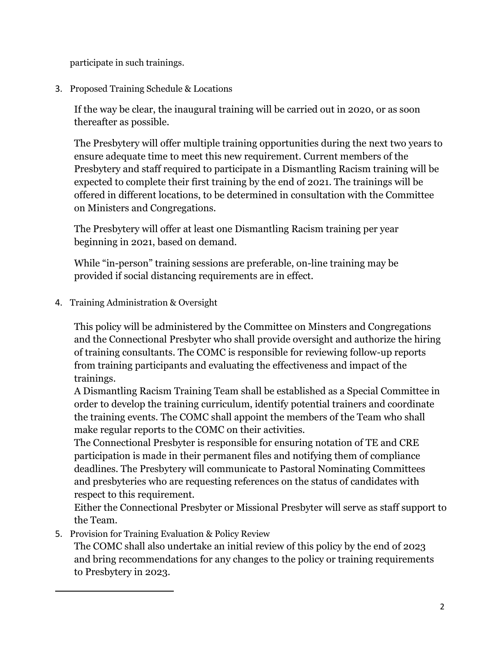participate in such trainings.

3. Proposed Training Schedule & Locations

If the way be clear, the inaugural training will be carried out in 2020, or as soon thereafter as possible.

The Presbytery will offer multiple training opportunities during the next two years to ensure adequate time to meet this new requirement. Current members of the Presbytery and staff required to participate in a Dismantling Racism training will be expected to complete their first training by the end of 2021. The trainings will be offered in different locations, to be determined in consultation with the Committee on Ministers and Congregations.

The Presbytery will offer at least one Dismantling Racism training per year beginning in 2021, based on demand.

While "in-person" training sessions are preferable, on-line training may be provided if social distancing requirements are in effect.

4. Training Administration & Oversight

This policy will be administered by the Committee on Minsters and Congregations and the Connectional Presbyter who shall provide oversight and authorize the hiring of training consultants. The COMC is responsible for reviewing follow-up reports from training participants and evaluating the effectiveness and impact of the trainings.

A Dismantling Racism Training Team shall be established as a Special Committee in order to develop the training curriculum, identify potential trainers and coordinate the training events. The COMC shall appoint the members of the Team who shall make regular reports to the COMC on their activities.

The Connectional Presbyter is responsible for ensuring notation of TE and CRE participation is made in their permanent files and notifying them of compliance deadlines. The Presbytery will communicate to Pastoral Nominating Committees and presbyteries who are requesting references on the status of candidates with respect to this requirement.

Either the Connectional Presbyter or Missional Presbyter will serve as staff support to the Team.

5. Provision for Training Evaluation & Policy Review

The COMC shall also undertake an initial review of this policy by the end of 2023 and bring recommendations for any changes to the policy or training requirements to Presbytery in 2023.